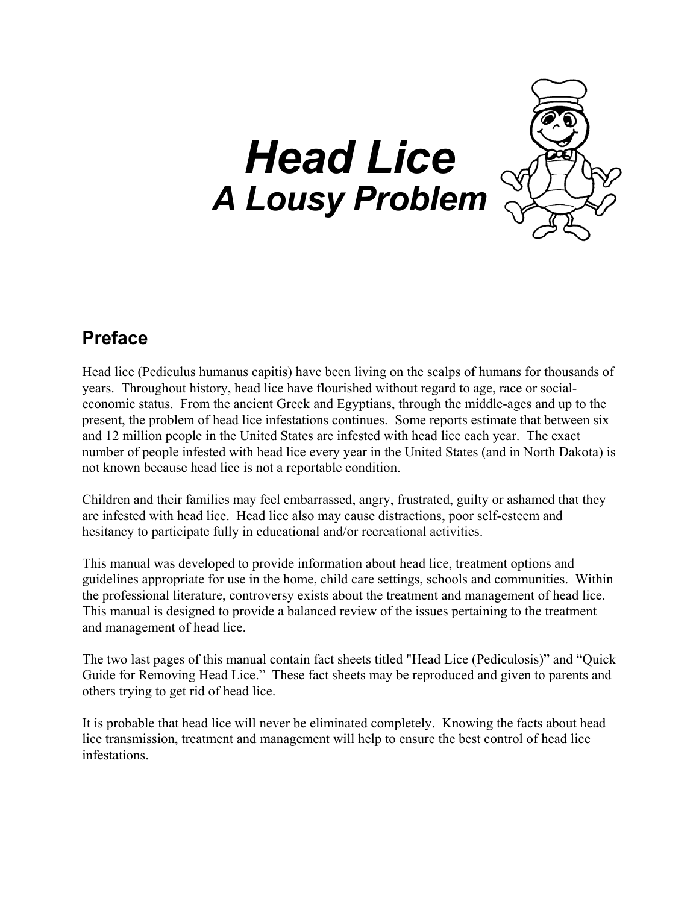# *Head Lice A Lousy Problem*



### **Preface**

Head lice (Pediculus humanus capitis) have been living on the scalps of humans for thousands of years. Throughout history, head lice have flourished without regard to age, race or socialeconomic status. From the ancient Greek and Egyptians, through the middle-ages and up to the present, the problem of head lice infestations continues. Some reports estimate that between six and 12 million people in the United States are infested with head lice each year. The exact number of people infested with head lice every year in the United States (and in North Dakota) is not known because head lice is not a reportable condition.

Children and their families may feel embarrassed, angry, frustrated, guilty or ashamed that they are infested with head lice. Head lice also may cause distractions, poor self-esteem and hesitancy to participate fully in educational and/or recreational activities.

This manual was developed to provide information about head lice, treatment options and guidelines appropriate for use in the home, child care settings, schools and communities. Within the professional literature, controversy exists about the treatment and management of head lice. This manual is designed to provide a balanced review of the issues pertaining to the treatment and management of head lice.

The two last pages of this manual contain fact sheets titled "Head Lice (Pediculosis)" and "Quick Guide for Removing Head Lice." These fact sheets may be reproduced and given to parents and others trying to get rid of head lice.

It is probable that head lice will never be eliminated completely. Knowing the facts about head lice transmission, treatment and management will help to ensure the best control of head lice infestations.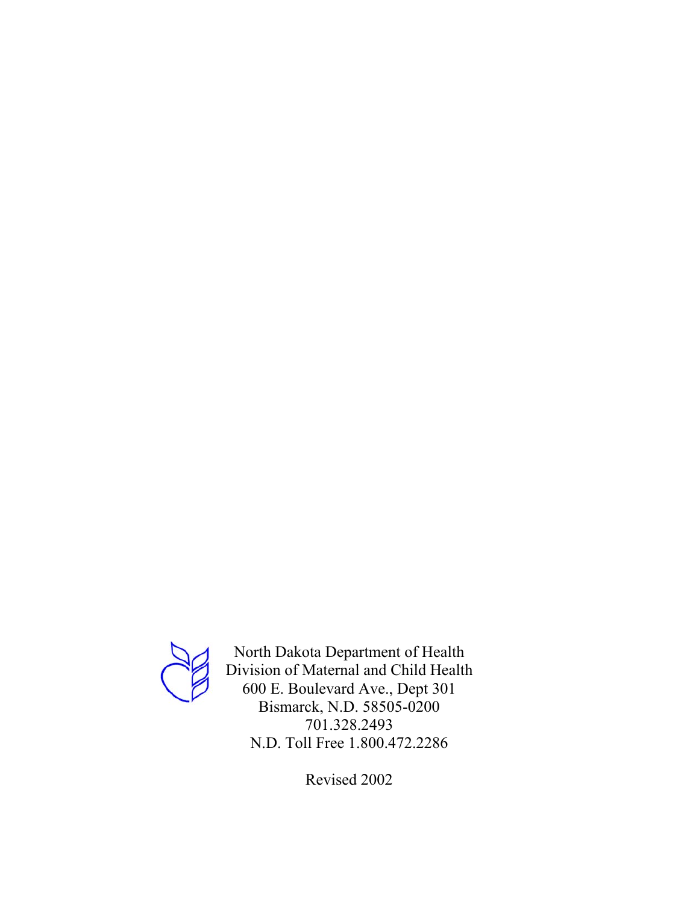

North Dakota Department of Health Division of Maternal and Child Health 600 E. Boulevard Ave., Dept 301 Bismarck, N.D. 58505-0200 701.328.2493 N.D. Toll Free 1.800.472.2286

Revised 2002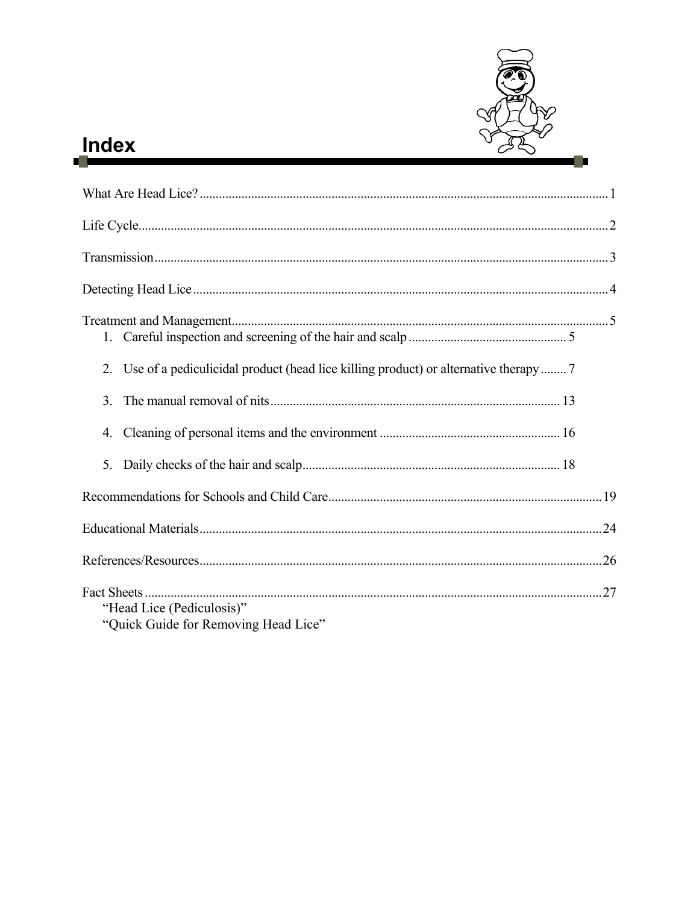

# Index

| 2.                                                                |  |
|-------------------------------------------------------------------|--|
| 3 <sub>1</sub>                                                    |  |
| 4.                                                                |  |
| 5.                                                                |  |
|                                                                   |  |
|                                                                   |  |
|                                                                   |  |
| "Head Lice (Pediculosis)"<br>"Quick Guide for Removing Head Lice" |  |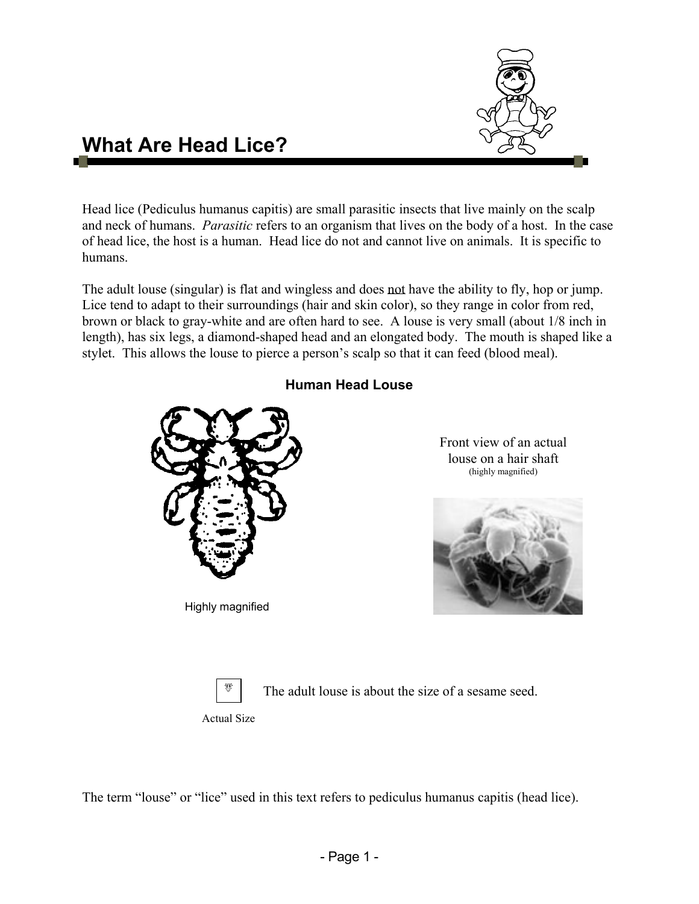

### **What Are Head Lice?**

Head lice (Pediculus humanus capitis) are small parasitic insects that live mainly on the scalp and neck of humans. *Parasitic* refers to an organism that lives on the body of a host. In the case of head lice, the host is a human. Head lice do not and cannot live on animals. It is specific to humans.

The adult louse (singular) is flat and wingless and does not have the ability to fly, hop or jump. Lice tend to adapt to their surroundings (hair and skin color), so they range in color from red, brown or black to gray-white and are often hard to see. A louse is very small (about 1/8 inch in length), has six legs, a diamond-shaped head and an elongated body. The mouth is shaped like a stylet. This allows the louse to pierce a person's scalp so that it can feed (blood meal).



Highly magnified

#### **Human Head Louse**

Front view of an actual louse on a hair shaft (highly magnified)





The adult louse is about the size of a sesame seed.

Actual Size

The term "louse" or "lice" used in this text refers to pediculus humanus capitis (head lice).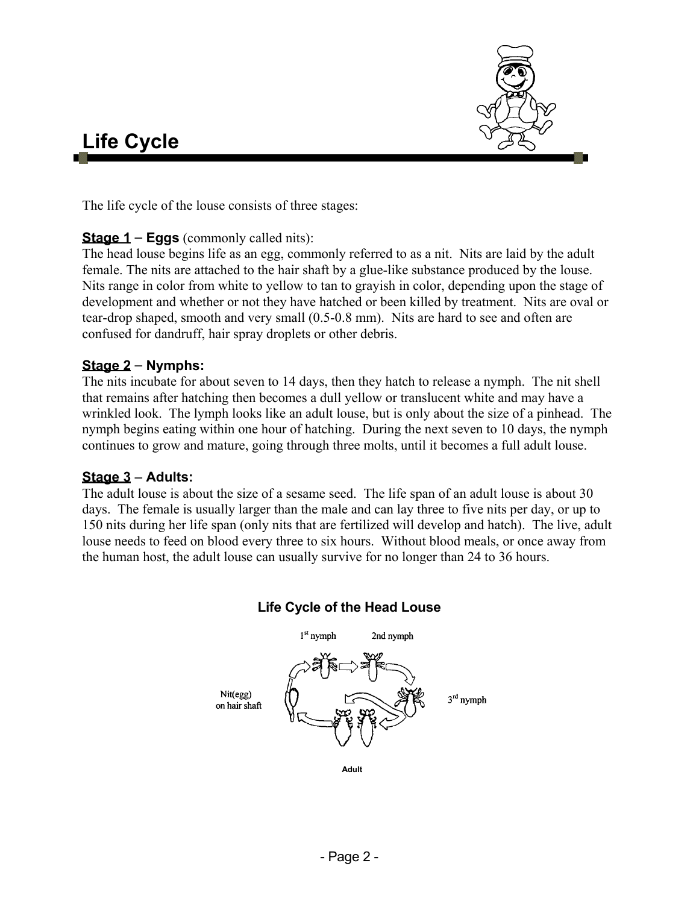

### **Life Cycle**

The life cycle of the louse consists of three stages:

#### **Stage 1** – **Eggs** (commonly called nits):

The head louse begins life as an egg, commonly referred to as a nit. Nits are laid by the adult female. The nits are attached to the hair shaft by a glue-like substance produced by the louse. Nits range in color from white to yellow to tan to grayish in color, depending upon the stage of development and whether or not they have hatched or been killed by treatment. Nits are oval or tear-drop shaped, smooth and very small (0.5-0.8 mm). Nits are hard to see and often are confused for dandruff, hair spray droplets or other debris.

#### **Stage 2** – **Nymphs:**

The nits incubate for about seven to 14 days, then they hatch to release a nymph. The nit shell that remains after hatching then becomes a dull yellow or translucent white and may have a wrinkled look. The lymph looks like an adult louse, but is only about the size of a pinhead. The nymph begins eating within one hour of hatching. During the next seven to 10 days, the nymph continues to grow and mature, going through three molts, until it becomes a full adult louse.

#### **Stage 3** – **Adults:**

The adult louse is about the size of a sesame seed. The life span of an adult louse is about 30 days. The female is usually larger than the male and can lay three to five nits per day, or up to 150 nits during her life span (only nits that are fertilized will develop and hatch). The live, adult louse needs to feed on blood every three to six hours. Without blood meals, or once away from the human host, the adult louse can usually survive for no longer than 24 to 36 hours.



#### **Life Cycle of the Head Louse**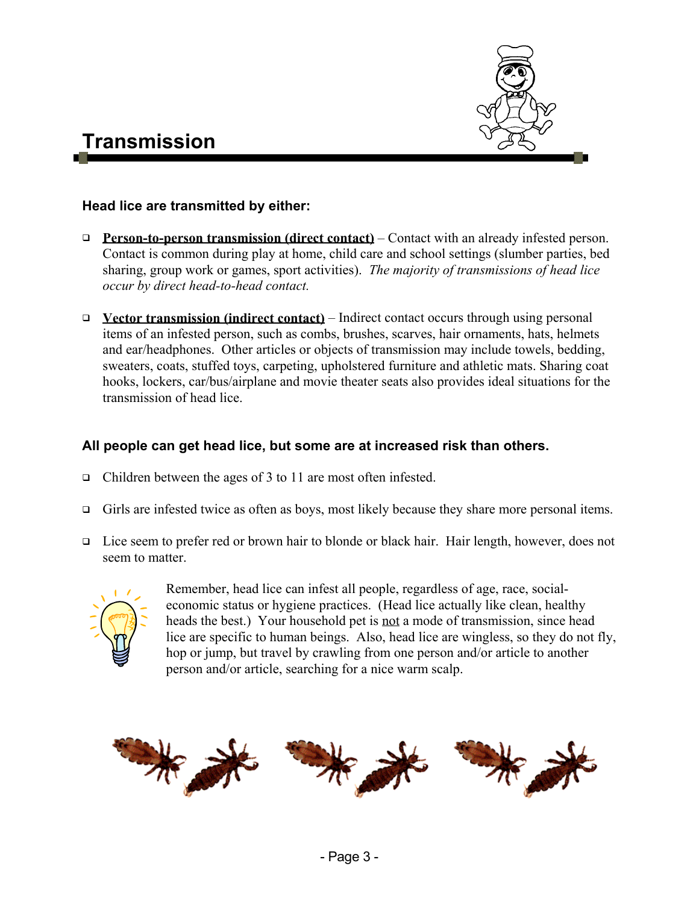

### **Transmission**

#### **Head lice are transmitted by either:**

- **Person-to-person transmission (direct contact)** Contact with an already infested person. Contact is common during play at home, child care and school settings (slumber parties, bed sharing, group work or games, sport activities). *The majority of transmissions of head lice occur by direct head-to-head contact.*
- **Vector transmission (indirect contact)** Indirect contact occurs through using personal items of an infested person, such as combs, brushes, scarves, hair ornaments, hats, helmets and ear/headphones. Other articles or objects of transmission may include towels, bedding, sweaters, coats, stuffed toys, carpeting, upholstered furniture and athletic mats. Sharing coat hooks, lockers, car/bus/airplane and movie theater seats also provides ideal situations for the transmission of head lice.

#### **All people can get head lice, but some are at increased risk than others.**

- □ Children between the ages of 3 to 11 are most often infested.
- Girls are infested twice as often as boys, most likely because they share more personal items.
- Lice seem to prefer red or brown hair to blonde or black hair. Hair length, however, does not seem to matter.



Remember, head lice can infest all people, regardless of age, race, socialeconomic status or hygiene practices. (Head lice actually like clean, healthy heads the best.) Your household pet is not a mode of transmission, since head lice are specific to human beings. Also, head lice are wingless, so they do not fly, hop or jump, but travel by crawling from one person and/or article to another person and/or article, searching for a nice warm scalp.

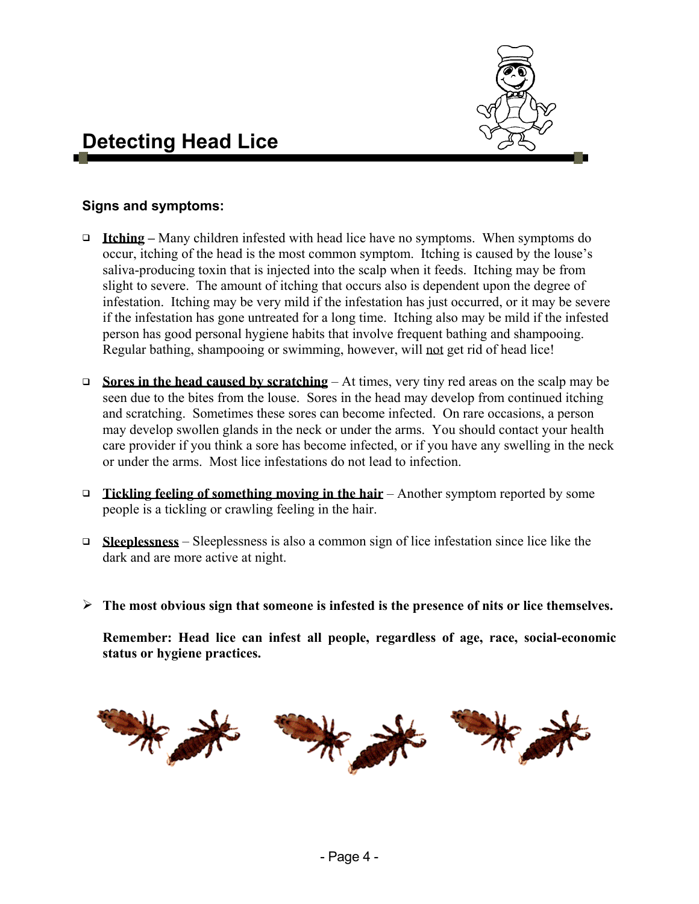

### **Detecting Head Lice**

#### **Signs and symptoms:**

- □ Itching Many children infested with head lice have no symptoms. When symptoms do occur, itching of the head is the most common symptom. Itching is caused by the louse's saliva-producing toxin that is injected into the scalp when it feeds. Itching may be from slight to severe. The amount of itching that occurs also is dependent upon the degree of infestation. Itching may be very mild if the infestation has just occurred, or it may be severe if the infestation has gone untreated for a long time. Itching also may be mild if the infested person has good personal hygiene habits that involve frequent bathing and shampooing. Regular bathing, shampooing or swimming, however, will not get rid of head lice!
- **□** Sores in the head caused by scratching At times, very tiny red areas on the scalp may be seen due to the bites from the louse. Sores in the head may develop from continued itching and scratching. Sometimes these sores can become infected. On rare occasions, a person may develop swollen glands in the neck or under the arms. You should contact your health care provider if you think a sore has become infected, or if you have any swelling in the neck or under the arms. Most lice infestations do not lead to infection.
- **Tickling feeling of something moving in the hair** Another symptom reported by some people is a tickling or crawling feeling in the hair.
- **Sleeplessness** Sleeplessness is also a common sign of lice infestation since lice like the dark and are more active at night.
- ¾ **The most obvious sign that someone is infested is the presence of nits or lice themselves.**

**Remember: Head lice can infest all people, regardless of age, race, social-economic status or hygiene practices.**

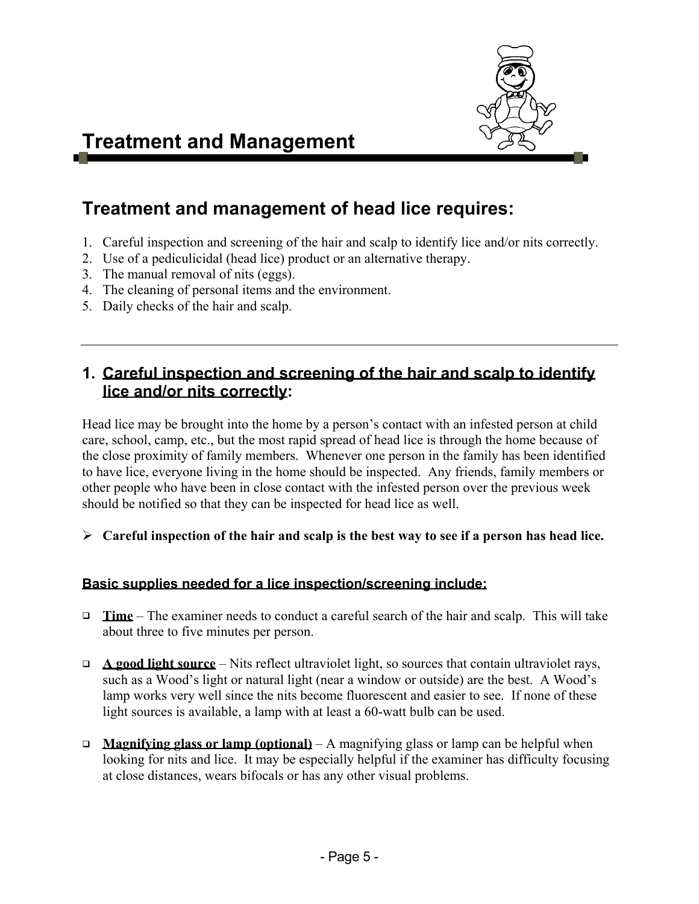

### **Treatment and Management**

### **Treatment and management of head lice requires:**

- 1. Careful inspection and screening of the hair and scalp to identify lice and/or nits correctly.
- 2. Use of a pediculicidal (head lice) product or an alternative therapy.
- 3. The manual removal of nits (eggs).
- 4. The cleaning of personal items and the environment.
- 5. Daily checks of the hair and scalp.

#### **1. Careful inspection and screening of the hair and scalp to identify lice and/or nits correctly:**

Head lice may be brought into the home by a person's contact with an infested person at child care, school, camp, etc., but the most rapid spread of head lice is through the home because of the close proximity of family members. Whenever one person in the family has been identified to have lice, everyone living in the home should be inspected. Any friends, family members or other people who have been in close contact with the infested person over the previous week should be notified so that they can be inspected for head lice as well.

¾ **Careful inspection of the hair and scalp is the best way to see if a person has head lice.** 

#### **Basic supplies needed for a lice inspection/screening include:**

- **Time** The examiner needs to conduct a careful search of the hair and scalp. This will take about three to five minutes per person.
- **A good light source** Nits reflect ultraviolet light, so sources that contain ultraviolet rays, such as a Wood's light or natural light (near a window or outside) are the best. A Wood's lamp works very well since the nits become fluorescent and easier to see. If none of these light sources is available, a lamp with at least a 60-watt bulb can be used.
- **Magnifying glass or lamp (optional)** A magnifying glass or lamp can be helpful when looking for nits and lice. It may be especially helpful if the examiner has difficulty focusing at close distances, wears bifocals or has any other visual problems.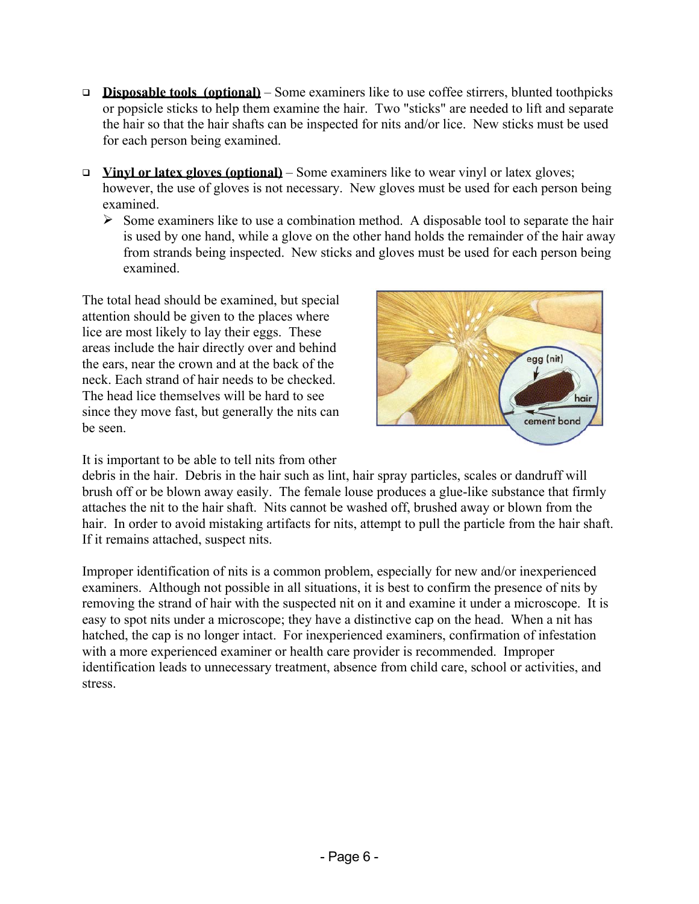- **Disposable tools (optional)** Some examiners like to use coffee stirrers, blunted toothpicks or popsicle sticks to help them examine the hair. Two "sticks" are needed to lift and separate the hair so that the hair shafts can be inspected for nits and/or lice. New sticks must be used for each person being examined.
- **Vinyl or latex gloves (optional)** Some examiners like to wear vinyl or latex gloves; however, the use of gloves is not necessary. New gloves must be used for each person being examined.
	- $\triangleright$  Some examiners like to use a combination method. A disposable tool to separate the hair is used by one hand, while a glove on the other hand holds the remainder of the hair away from strands being inspected. New sticks and gloves must be used for each person being examined.

The total head should be examined, but special attention should be given to the places where lice are most likely to lay their eggs. These areas include the hair directly over and behind the ears, near the crown and at the back of the neck. Each strand of hair needs to be checked. The head lice themselves will be hard to see since they move fast, but generally the nits can be seen.

It is important to be able to tell nits from other



debris in the hair. Debris in the hair such as lint, hair spray particles, scales or dandruff will brush off or be blown away easily. The female louse produces a glue-like substance that firmly attaches the nit to the hair shaft. Nits cannot be washed off, brushed away or blown from the hair. In order to avoid mistaking artifacts for nits, attempt to pull the particle from the hair shaft. If it remains attached, suspect nits.

Improper identification of nits is a common problem, especially for new and/or inexperienced examiners. Although not possible in all situations, it is best to confirm the presence of nits by removing the strand of hair with the suspected nit on it and examine it under a microscope. It is easy to spot nits under a microscope; they have a distinctive cap on the head. When a nit has hatched, the cap is no longer intact. For inexperienced examiners, confirmation of infestation with a more experienced examiner or health care provider is recommended. Improper identification leads to unnecessary treatment, absence from child care, school or activities, and stress.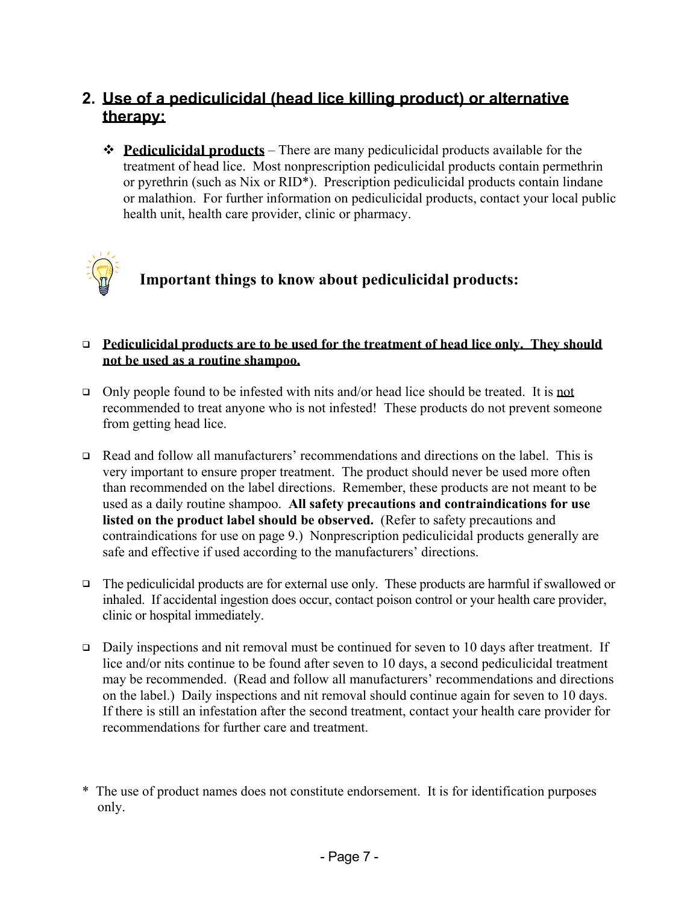#### **2. Use of a pediculicidal (head lice killing product) or alternative therapy:**

 **Pediculicidal products** – There are many pediculicidal products available for the treatment of head lice. Most nonprescription pediculicidal products contain permethrin or pyrethrin (such as Nix or RID\*). Prescription pediculicidal products contain lindane or malathion. For further information on pediculicidal products, contact your local public health unit, health care provider, clinic or pharmacy.



#### **Important things to know about pediculicidal products:**

#### **Pediculicidal products are to be used for the treatment of head lice only. They should not be used as a routine shampoo.**

- Only people found to be infested with nits and/or head lice should be treated. It is not recommended to treat anyone who is not infested! These products do not prevent someone from getting head lice.
- Read and follow all manufacturers' recommendations and directions on the label. This is very important to ensure proper treatment. The product should never be used more often than recommended on the label directions. Remember, these products are not meant to be used as a daily routine shampoo. **All safety precautions and contraindications for use listed on the product label should be observed.** (Refer to safety precautions and contraindications for use on page 9.) Nonprescription pediculicidal products generally are safe and effective if used according to the manufacturers' directions.
- $\Box$  The pediculicidal products are for external use only. These products are harmful if swallowed or inhaled. If accidental ingestion does occur, contact poison control or your health care provider, clinic or hospital immediately.
- $\Box$  Daily inspections and nit removal must be continued for seven to 10 days after treatment. If lice and/or nits continue to be found after seven to 10 days, a second pediculicidal treatment may be recommended. (Read and follow all manufacturers' recommendations and directions on the label.) Daily inspections and nit removal should continue again for seven to 10 days. If there is still an infestation after the second treatment, contact your health care provider for recommendations for further care and treatment.

<sup>\*</sup> The use of product names does not constitute endorsement. It is for identification purposes only.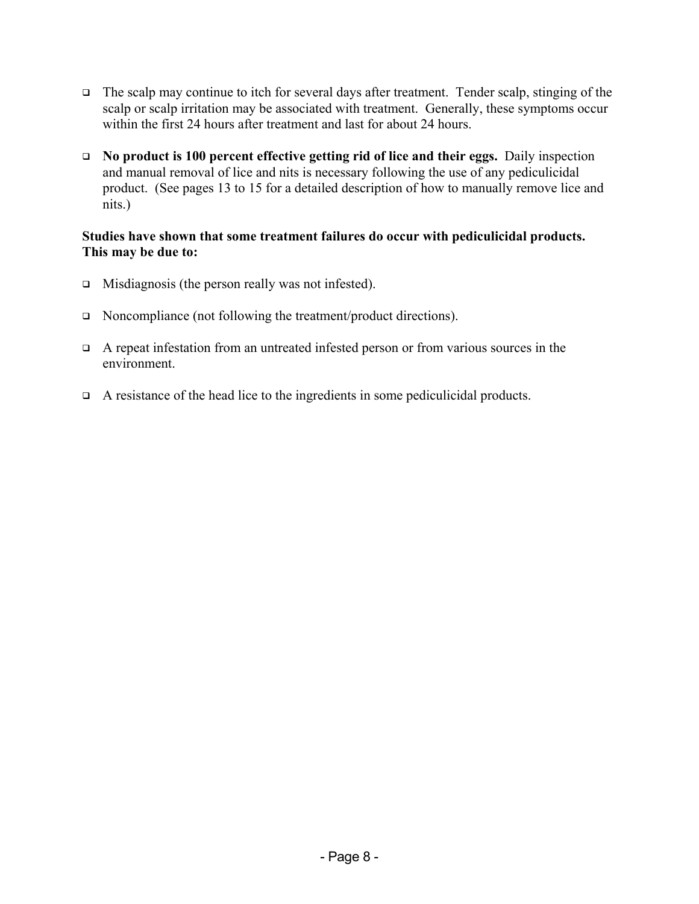- $\Box$  The scalp may continue to itch for several days after treatment. Tender scalp, stinging of the scalp or scalp irritation may be associated with treatment. Generally, these symptoms occur within the first 24 hours after treatment and last for about 24 hours.
- **No product is 100 percent effective getting rid of lice and their eggs.** Daily inspection and manual removal of lice and nits is necessary following the use of any pediculicidal product. (See pages 13 to 15 for a detailed description of how to manually remove lice and nits.)

#### **Studies have shown that some treatment failures do occur with pediculicidal products. This may be due to:**

- $\Box$  Misdiagnosis (the person really was not infested).
- □ Noncompliance (not following the treatment/product directions).
- $\Box$  A repeat infestation from an untreated infested person or from various sources in the environment.
- $\Box$  A resistance of the head lice to the ingredients in some pediculicidal products.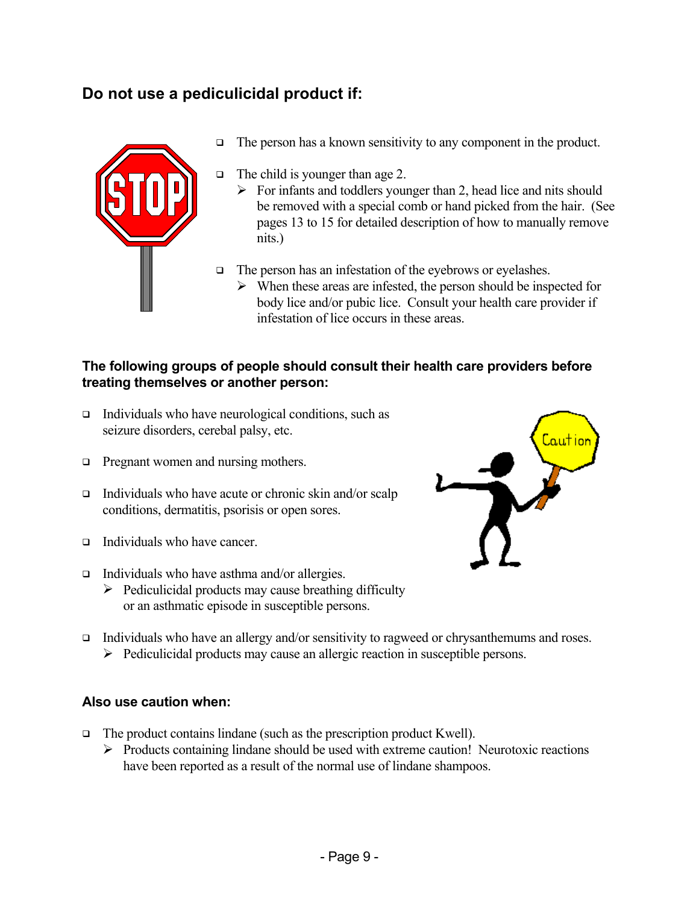#### **Do not use a pediculicidal product if:**



- $\Box$  The person has a known sensitivity to any component in the product.
- $\Box$  The child is younger than age 2.
	- $\triangleright$  For infants and toddlers younger than 2, head lice and nits should be removed with a special comb or hand picked from the hair. (See pages 13 to 15 for detailed description of how to manually remove nits.)
- $\Box$  The person has an infestation of the eyebrows or eyelashes.
	- $\triangleright$  When these areas are infested, the person should be inspected for body lice and/or pubic lice. Consult your health care provider if infestation of lice occurs in these areas.

#### **The following groups of people should consult their health care providers before treating themselves or another person:**

- $\Box$  Individuals who have neurological conditions, such as seizure disorders, cerebal palsy, etc.
- **Pregnant women and nursing mothers.**
- $\Box$  Individuals who have acute or chronic skin and/or scalp conditions, dermatitis, psorisis or open sores.
- $\Box$  Individuals who have cancer.
- $\Box$  Individuals who have asthma and/or allergies.
	- $\triangleright$  Pediculicidal products may cause breathing difficulty or an asthmatic episode in susceptible persons.



aution

 Individuals who have an allergy and/or sensitivity to ragweed or chrysanthemums and roses. ¾ Pediculicidal products may cause an allergic reaction in susceptible persons.

#### **Also use caution when:**

- $\Box$  The product contains lindane (such as the prescription product Kwell).
	- $\triangleright$  Products containing lindane should be used with extreme caution! Neurotoxic reactions have been reported as a result of the normal use of lindane shampoos.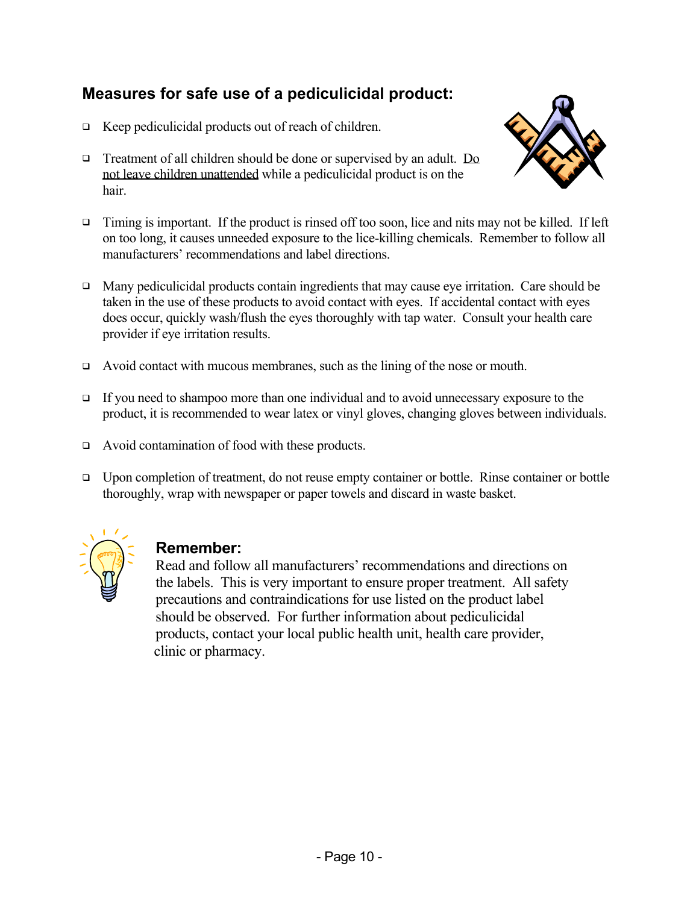#### **Measures for safe use of a pediculicidal product:**

- $\Box$  Keep pediculicidal products out of reach of children.
- □ Treatment of all children should be done or supervised by an adult. Do not leave children unattended while a pediculicidal product is on the hair.



- $\Box$  Timing is important. If the product is rinsed off too soon, lice and nits may not be killed. If left on too long, it causes unneeded exposure to the lice-killing chemicals. Remember to follow all manufacturers' recommendations and label directions.
- $\Box$  Many pediculicidal products contain ingredients that may cause eye irritation. Care should be taken in the use of these products to avoid contact with eyes. If accidental contact with eyes does occur, quickly wash/flush the eyes thoroughly with tap water. Consult your health care provider if eye irritation results.
- Avoid contact with mucous membranes, such as the lining of the nose or mouth.
- If you need to shampoo more than one individual and to avoid unnecessary exposure to the product, it is recommended to wear latex or vinyl gloves, changing gloves between individuals.
- Avoid contamination of food with these products.
- □ Upon completion of treatment, do not reuse empty container or bottle. Rinse container or bottle thoroughly, wrap with newspaper or paper towels and discard in waste basket.



#### **Remember:**

Read and follow all manufacturers' recommendations and directions on the labels. This is very important to ensure proper treatment. All safety precautions and contraindications for use listed on the product label should be observed. For further information about pediculicidal products, contact your local public health unit, health care provider, clinic or pharmacy.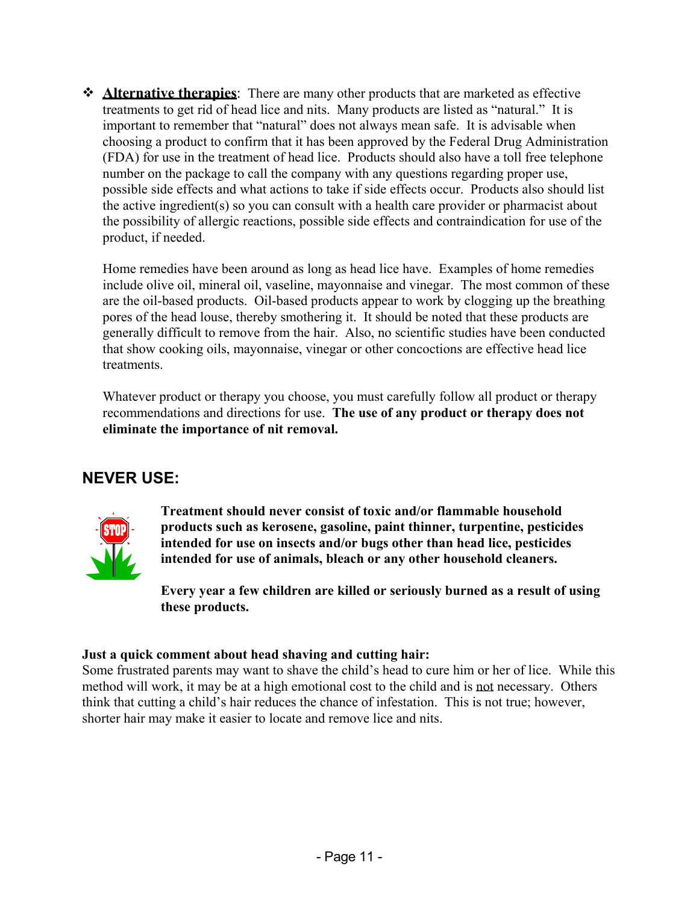**Alternative therapies**: There are many other products that are marketed as effective treatments to get rid of head lice and nits. Many products are listed as "natural." It is important to remember that "natural" does not always mean safe. It is advisable when choosing a product to confirm that it has been approved by the Federal Drug Administration (FDA) for use in the treatment of head lice. Products should also have a toll free telephone number on the package to call the company with any questions regarding proper use, possible side effects and what actions to take if side effects occur. Products also should list the active ingredient(s) so you can consult with a health care provider or pharmacist about the possibility of allergic reactions, possible side effects and contraindication for use of the product, if needed.

Home remedies have been around as long as head lice have. Examples of home remedies include olive oil, mineral oil, vaseline, mayonnaise and vinegar. The most common of these are the oil-based products. Oil-based products appear to work by clogging up the breathing pores of the head louse, thereby smothering it. It should be noted that these products are generally difficult to remove from the hair. Also, no scientific studies have been conducted that show cooking oils, mayonnaise, vinegar or other concoctions are effective head lice treatments.

Whatever product or therapy you choose, you must carefully follow all product or therapy recommendations and directions for use. **The use of any product or therapy does not eliminate the importance of nit removal.**

#### **NEVER USE:**



**Treatment should never consist of toxic and/or flammable household products such as kerosene, gasoline, paint thinner, turpentine, pesticides intended for use on insects and/or bugs other than head lice, pesticides intended for use of animals, bleach or any other household cleaners.** 

**Every year a few children are killed or seriously burned as a result of using these products.** 

#### **Just a quick comment about head shaving and cutting hair:**

Some frustrated parents may want to shave the child's head to cure him or her of lice. While this method will work, it may be at a high emotional cost to the child and is not necessary. Others think that cutting a child's hair reduces the chance of infestation. This is not true; however, shorter hair may make it easier to locate and remove lice and nits.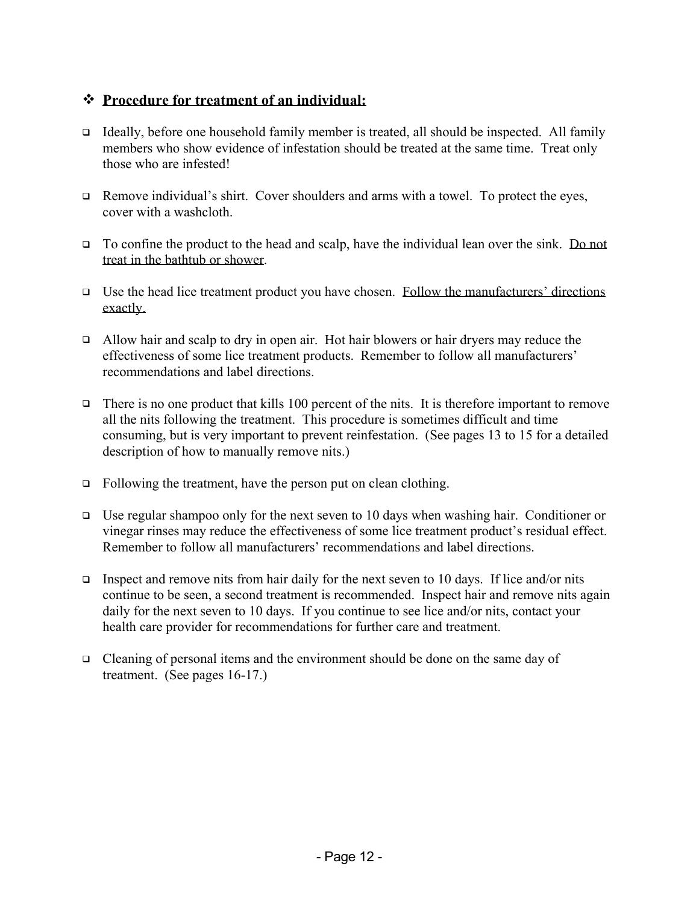#### **Procedure for treatment of an individual:**

- $\Box$  Ideally, before one household family member is treated, all should be inspected. All family members who show evidence of infestation should be treated at the same time. Treat only those who are infested!
- $\Box$  Remove individual's shirt. Cover shoulders and arms with a towel. To protect the eyes, cover with a washcloth.
- $\Box$  To confine the product to the head and scalp, have the individual lean over the sink. Do not treat in the bathtub or shower.
- $\Box$  Use the head lice treatment product you have chosen. Follow the manufacturers' directions exactly.
- $\Box$  Allow hair and scalp to dry in open air. Hot hair blowers or hair dryers may reduce the effectiveness of some lice treatment products. Remember to follow all manufacturers' recommendations and label directions.
- There is no one product that kills 100 percent of the nits. It is therefore important to remove all the nits following the treatment. This procedure is sometimes difficult and time consuming, but is very important to prevent reinfestation. (See pages 13 to 15 for a detailed description of how to manually remove nits.)
- $\Box$  Following the treatment, have the person put on clean clothing.
- $\Box$  Use regular shampoo only for the next seven to 10 days when washing hair. Conditioner or vinegar rinses may reduce the effectiveness of some lice treatment product's residual effect. Remember to follow all manufacturers' recommendations and label directions.
- Inspect and remove nits from hair daily for the next seven to 10 days. If lice and/or nits continue to be seen, a second treatment is recommended. Inspect hair and remove nits again daily for the next seven to 10 days. If you continue to see lice and/or nits, contact your health care provider for recommendations for further care and treatment.
- $\Box$  Cleaning of personal items and the environment should be done on the same day of treatment. (See pages 16-17.)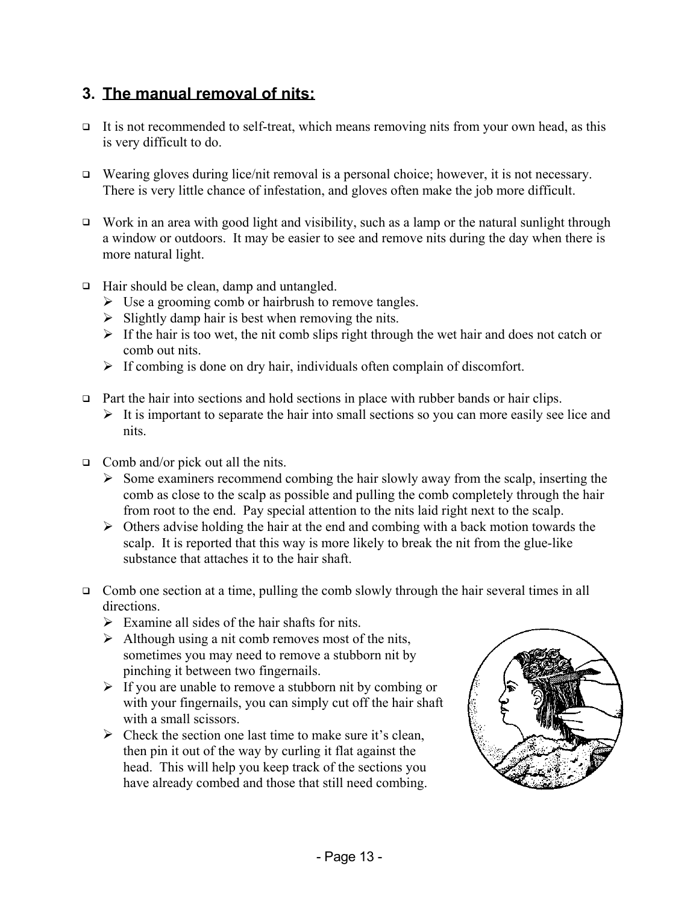#### **3. The manual removal of nits:**

- $\Box$  It is not recommended to self-treat, which means removing nits from your own head, as this is very difficult to do.
- □ Wearing gloves during lice/nit removal is a personal choice; however, it is not necessary. There is very little chance of infestation, and gloves often make the job more difficult.
- $\Box$  Work in an area with good light and visibility, such as a lamp or the natural sunlight through a window or outdoors. It may be easier to see and remove nits during the day when there is more natural light.
- $\Box$  Hair should be clean, damp and untangled.
	- $\triangleright$  Use a grooming comb or hairbrush to remove tangles.
	- $\triangleright$  Slightly damp hair is best when removing the nits.
	- $\triangleright$  If the hair is too wet, the nit comb slips right through the wet hair and does not catch or comb out nits.
	- $\triangleright$  If combing is done on dry hair, individuals often complain of discomfort.
- $\Box$  Part the hair into sections and hold sections in place with rubber bands or hair clips.
	- $\triangleright$  It is important to separate the hair into small sections so you can more easily see lice and nits.
- Comb and/or pick out all the nits.
	- $\triangleright$  Some examiners recommend combing the hair slowly away from the scalp, inserting the comb as close to the scalp as possible and pulling the comb completely through the hair from root to the end. Pay special attention to the nits laid right next to the scalp.
	- $\triangleright$  Others advise holding the hair at the end and combing with a back motion towards the scalp. It is reported that this way is more likely to break the nit from the glue-like substance that attaches it to the hair shaft.
- $\Box$  Comb one section at a time, pulling the comb slowly through the hair several times in all directions.
	- $\triangleright$  Examine all sides of the hair shafts for nits.
	- $\triangleright$  Although using a nit comb removes most of the nits, sometimes you may need to remove a stubborn nit by pinching it between two fingernails.
	- $\triangleright$  If you are unable to remove a stubborn nit by combing or with your fingernails, you can simply cut off the hair shaft with a small scissors.
	- $\triangleright$  Check the section one last time to make sure it's clean, then pin it out of the way by curling it flat against the head. This will help you keep track of the sections you have already combed and those that still need combing.

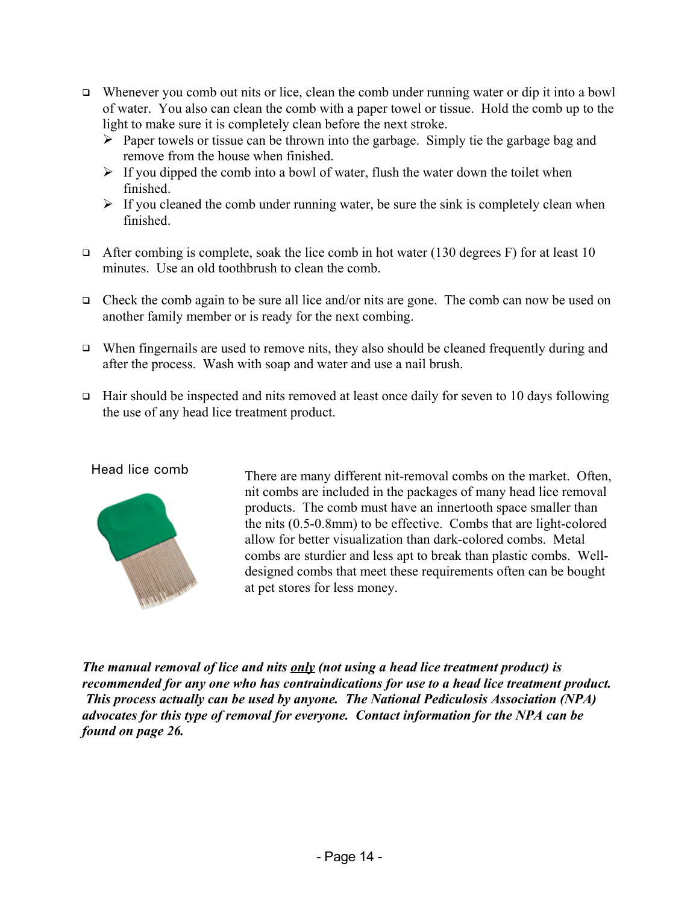- $\Box$  Whenever you comb out nits or lice, clean the comb under running water or dip it into a bowl of water. You also can clean the comb with a paper towel or tissue. Hold the comb up to the light to make sure it is completely clean before the next stroke.
	- $\triangleright$  Paper towels or tissue can be thrown into the garbage. Simply tie the garbage bag and remove from the house when finished.
	- $\triangleright$  If you dipped the comb into a bowl of water, flush the water down the toilet when finished.
	- $\triangleright$  If you cleaned the comb under running water, be sure the sink is completely clean when finished.
- After combing is complete, soak the lice comb in hot water (130 degrees F) for at least 10 minutes. Use an old toothbrush to clean the comb.
- $\Box$  Check the comb again to be sure all lice and/or nits are gone. The comb can now be used on another family member or is ready for the next combing.
- $\Box$  When fingernails are used to remove nits, they also should be cleaned frequently during and after the process. Wash with soap and water and use a nail brush.
- $\Box$  Hair should be inspected and nits removed at least once daily for seven to 10 days following the use of any head lice treatment product.



Head lice comb There are many different nit-removal combs on the market. Often, nit combs are included in the packages of many head lice removal products. The comb must have an innertooth space smaller than the nits (0.5-0.8mm) to be effective. Combs that are light-colored allow for better visualization than dark-colored combs. Metal combs are sturdier and less apt to break than plastic combs. Welldesigned combs that meet these requirements often can be bought at pet stores for less money.

*The manual removal of lice and nits only (not using a head lice treatment product) is recommended for any one who has contraindications for use to a head lice treatment product. This process actually can be used by anyone. The National Pediculosis Association (NPA) advocates for this type of removal for everyone. Contact information for the NPA can be found on page 26.*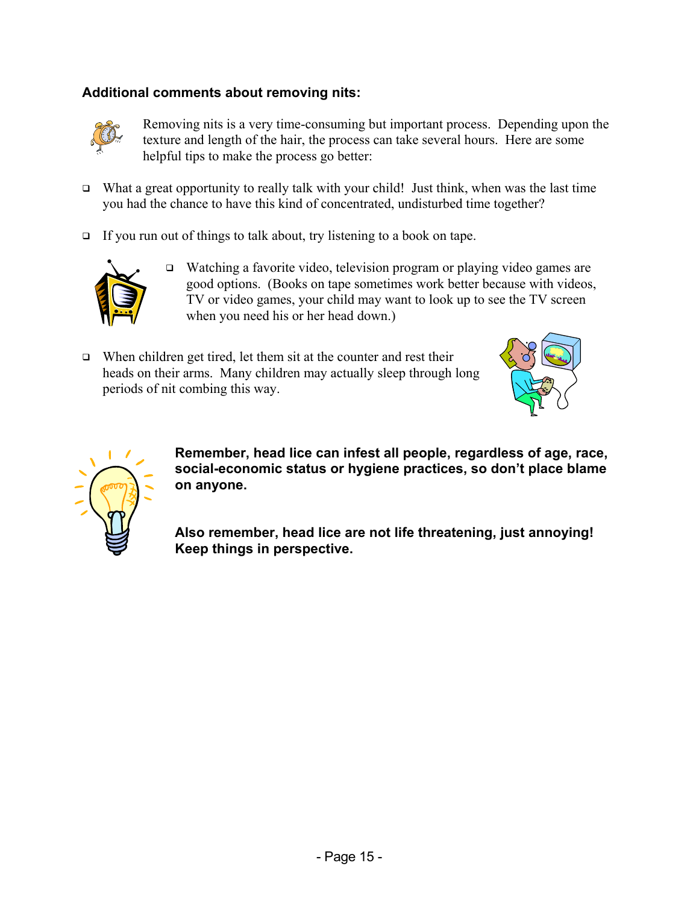#### **Additional comments about removing nits:**



Removing nits is a very time-consuming but important process. Depending upon the texture and length of the hair, the process can take several hours. Here are some helpful tips to make the process go better:

- What a great opportunity to really talk with your child! Just think, when was the last time you had the chance to have this kind of concentrated, undisturbed time together?
- $\Box$  If you run out of things to talk about, try listening to a book on tape.



- □ Watching a favorite video, television program or playing video games are good options. (Books on tape sometimes work better because with videos, TV or video games, your child may want to look up to see the TV screen when you need his or her head down.)
- $\Box$  When children get tired, let them sit at the counter and rest their heads on their arms. Many children may actually sleep through long periods of nit combing this way.





**Remember, head lice can infest all people, regardless of age, race, social-economic status or hygiene practices, so don't place blame on anyone.** 

**Also remember, head lice are not life threatening, just annoying! Keep things in perspective.**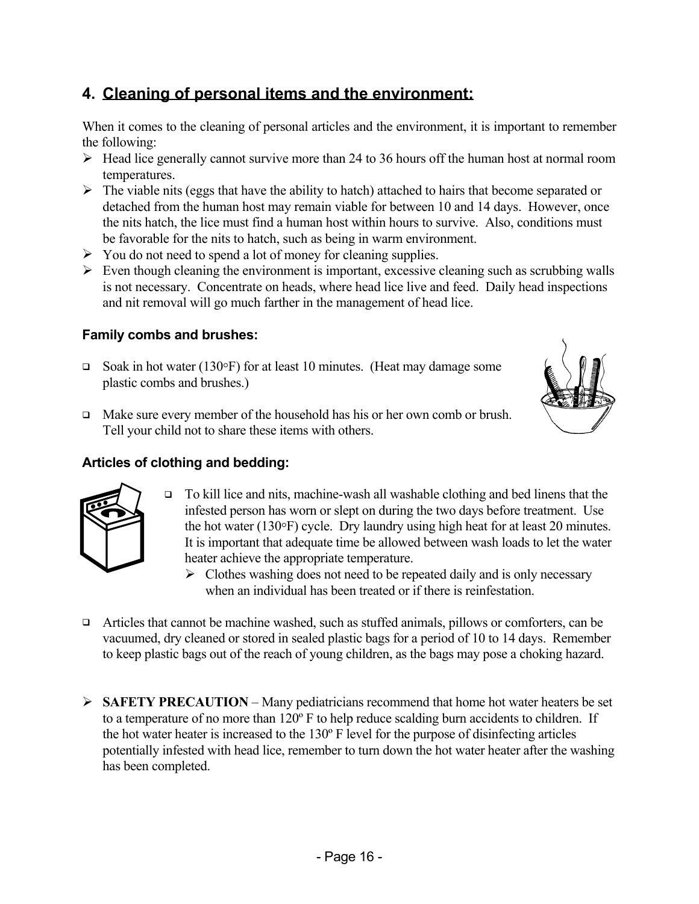#### **4. Cleaning of personal items and the environment:**

When it comes to the cleaning of personal articles and the environment, it is important to remember the following:

- $\triangleright$  Head lice generally cannot survive more than 24 to 36 hours off the human host at normal room temperatures.
- $\triangleright$  The viable nits (eggs that have the ability to hatch) attached to hairs that become separated or detached from the human host may remain viable for between 10 and 14 days. However, once the nits hatch, the lice must find a human host within hours to survive. Also, conditions must be favorable for the nits to hatch, such as being in warm environment.
- $\triangleright$  You do not need to spend a lot of money for cleaning supplies.
- $\triangleright$  Even though cleaning the environment is important, excessive cleaning such as scrubbing walls is not necessary. Concentrate on heads, where head lice live and feed. Daily head inspections and nit removal will go much farther in the management of head lice.

#### **Family combs and brushes:**

- $\Box$  Soak in hot water (130°F) for at least 10 minutes. (Heat may damage some plastic combs and brushes.)
- $\Box$  Make sure every member of the household has his or her own comb or brush. Tell your child not to share these items with others.

#### **Articles of clothing and bedding:**



- To kill lice and nits, machine-wash all washable clothing and bed linens that the infested person has worn or slept on during the two days before treatment. Use the hot water (130°F) cycle. Dry laundry using high heat for at least 20 minutes. It is important that adequate time be allowed between wash loads to let the water heater achieve the appropriate temperature.
	- $\triangleright$  Clothes washing does not need to be repeated daily and is only necessary when an individual has been treated or if there is reinfestation.
- $\Box$  Articles that cannot be machine washed, such as stuffed animals, pillows or comforters, can be vacuumed, dry cleaned or stored in sealed plastic bags for a period of 10 to 14 days. Remember to keep plastic bags out of the reach of young children, as the bags may pose a choking hazard.
- ¾ **SAFETY PRECAUTION** Many pediatricians recommend that home hot water heaters be set to a temperature of no more than 120º F to help reduce scalding burn accidents to children. If the hot water heater is increased to the 130º F level for the purpose of disinfecting articles potentially infested with head lice, remember to turn down the hot water heater after the washing has been completed.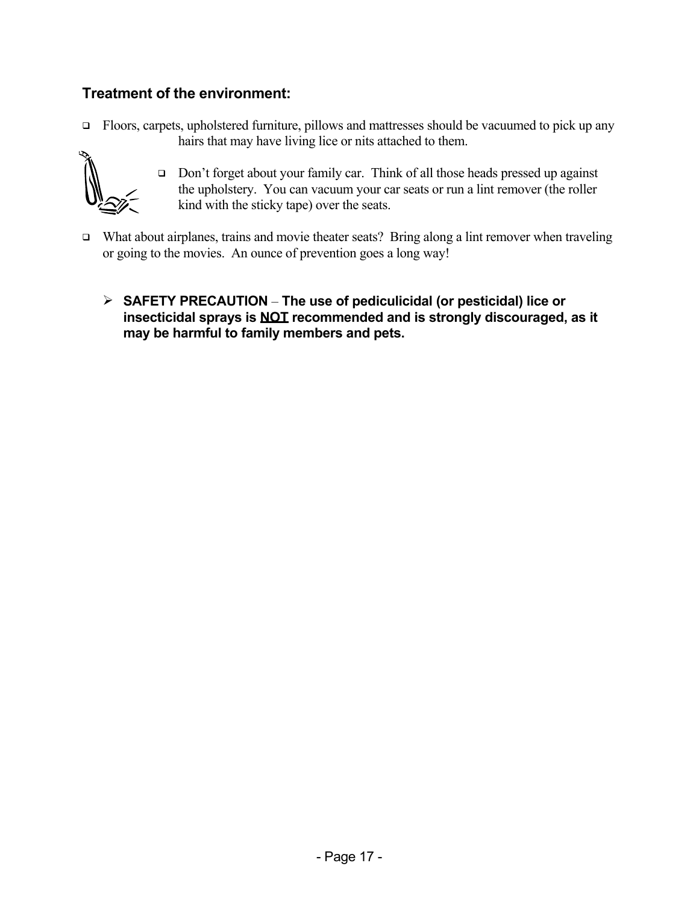#### **Treatment of the environment:**

 $\Box$  Floors, carpets, upholstered furniture, pillows and mattresses should be vacuumed to pick up any hairs that may have living lice or nits attached to them.



- □ Don't forget about your family car. Think of all those heads pressed up against the upholstery. You can vacuum your car seats or run a lint remover (the roller kind with the sticky tape) over the seats.
- □ What about airplanes, trains and movie theater seats? Bring along a lint remover when traveling or going to the movies. An ounce of prevention goes a long way!
	- ¾ **SAFETY PRECAUTION** – **The use of pediculicidal (or pesticidal) lice or insecticidal sprays is NOT recommended and is strongly discouraged, as it may be harmful to family members and pets.**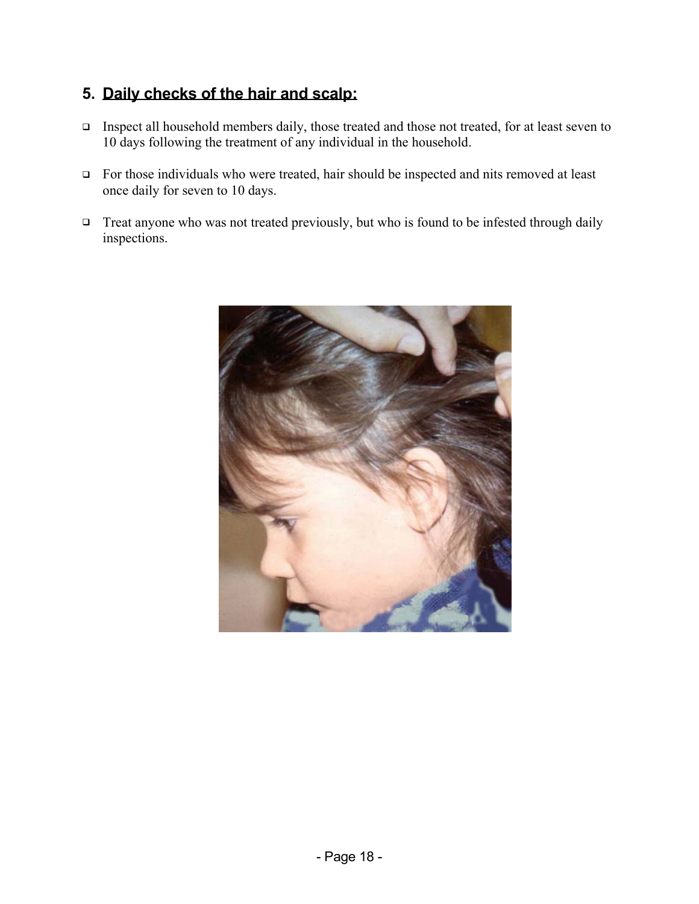#### **5. Daily checks of the hair and scalp:**

- Inspect all household members daily, those treated and those not treated, for at least seven to 10 days following the treatment of any individual in the household.
- For those individuals who were treated, hair should be inspected and nits removed at least once daily for seven to 10 days.
- □ Treat anyone who was not treated previously, but who is found to be infested through daily inspections.

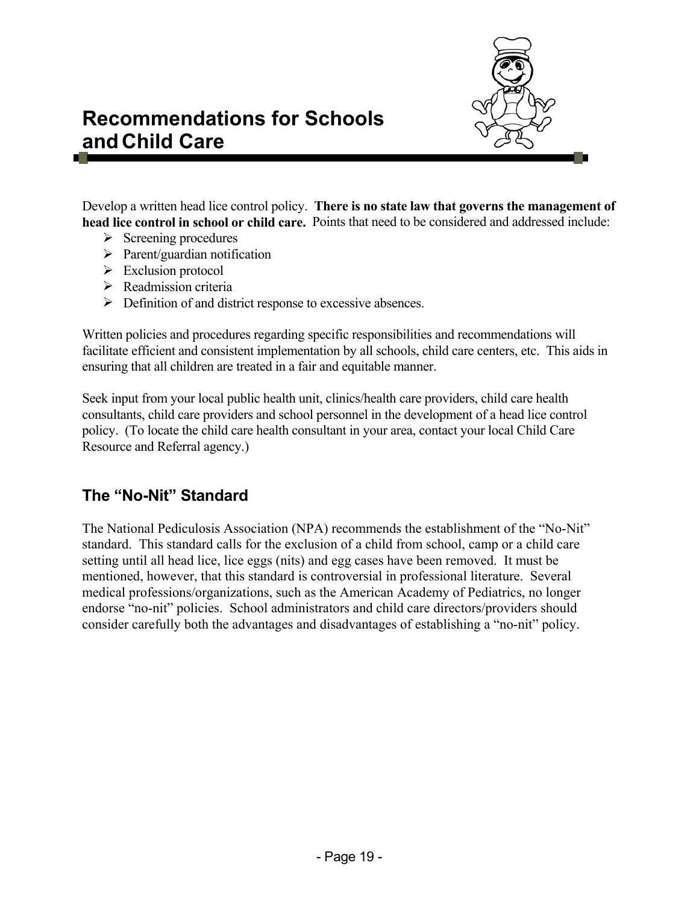

### **Recommendations for Schools and Child Care**

Develop a written head lice control policy. **There is no state law that governs the management of head lice control in school or child care.** Points that need to be considered and addressed include:

- $\triangleright$  Screening procedures
- $\triangleright$  Parent/guardian notification
- $\triangleright$  Exclusion protocol
- $\triangleright$  Readmission criteria
- $\triangleright$  Definition of and district response to excessive absences.

Written policies and procedures regarding specific responsibilities and recommendations will facilitate efficient and consistent implementation by all schools, child care centers, etc. This aids in ensuring that all children are treated in a fair and equitable manner.

Seek input from your local public health unit, clinics/health care providers, child care health consultants, child care providers and school personnel in the development of a head lice control policy. (To locate the child care health consultant in your area, contact your local Child Care Resource and Referral agency.)

#### **The "No-Nit" Standard**

The National Pediculosis Association (NPA) recommends the establishment of the "No-Nit" standard. This standard calls for the exclusion of a child from school, camp or a child care setting until all head lice, lice eggs (nits) and egg cases have been removed. It must be mentioned, however, that this standard is controversial in professional literature. Several medical professions/organizations, such as the American Academy of Pediatrics, no longer endorse "no-nit" policies. School administrators and child care directors/providers should consider carefully both the advantages and disadvantages of establishing a "no-nit" policy.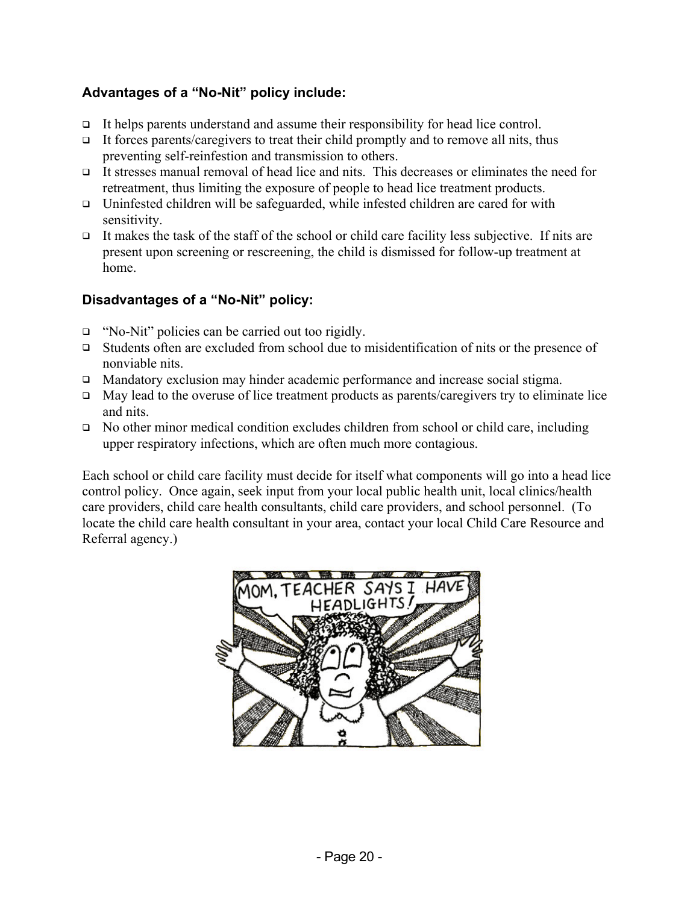#### **Advantages of a "No-Nit" policy include:**

- It helps parents understand and assume their responsibility for head lice control.
- $\Box$  It forces parents/caregivers to treat their child promptly and to remove all nits, thus preventing self-reinfestion and transmission to others.
- It stresses manual removal of head lice and nits. This decreases or eliminates the need for retreatment, thus limiting the exposure of people to head lice treatment products.
- $\Box$  Uninfested children will be safeguarded, while infested children are cared for with sensitivity.
- It makes the task of the staff of the school or child care facility less subjective. If nits are present upon screening or rescreening, the child is dismissed for follow-up treatment at home.

#### **Disadvantages of a "No-Nit" policy:**

- "No-Nit" policies can be carried out too rigidly.
- $\Box$  Students often are excluded from school due to misidentification of nits or the presence of nonviable nits.
- □ Mandatory exclusion may hinder academic performance and increase social stigma.
- $\Box$  May lead to the overuse of lice treatment products as parents/caregivers try to eliminate lice and nits.
- $\Box$  No other minor medical condition excludes children from school or child care, including upper respiratory infections, which are often much more contagious.

Each school or child care facility must decide for itself what components will go into a head lice control policy. Once again, seek input from your local public health unit, local clinics/health care providers, child care health consultants, child care providers, and school personnel. (To locate the child care health consultant in your area, contact your local Child Care Resource and Referral agency.)

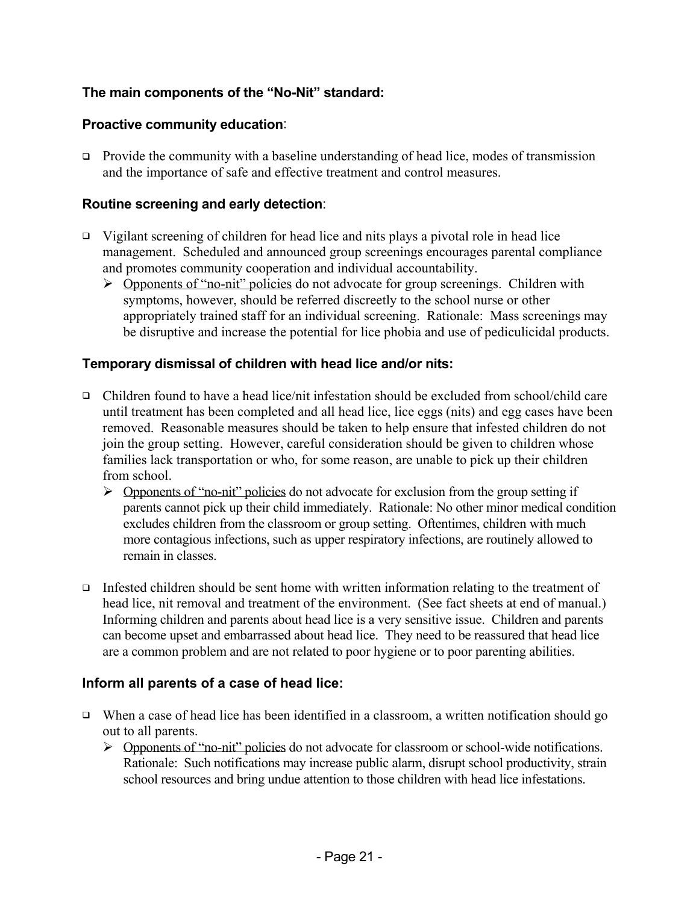#### **The main components of the "No-Nit" standard:**

#### **Proactive community education**:

**Provide the community with a baseline understanding of head lice, modes of transmission** and the importance of safe and effective treatment and control measures.

#### **Routine screening and early detection**:

- $\Box$  Vigilant screening of children for head lice and nits plays a pivotal role in head lice management. Scheduled and announced group screenings encourages parental compliance and promotes community cooperation and individual accountability.
	- ¾ Opponents of "no-nit" policies do not advocate for group screenings. Children with symptoms, however, should be referred discreetly to the school nurse or other appropriately trained staff for an individual screening. Rationale: Mass screenings may be disruptive and increase the potential for lice phobia and use of pediculicidal products.

#### **Temporary dismissal of children with head lice and/or nits:**

- Children found to have a head lice/nit infestation should be excluded from school/child care until treatment has been completed and all head lice, lice eggs (nits) and egg cases have been removed. Reasonable measures should be taken to help ensure that infested children do not join the group setting. However, careful consideration should be given to children whose families lack transportation or who, for some reason, are unable to pick up their children from school.
	- $\triangleright$  Opponents of "no-nit" policies do not advocate for exclusion from the group setting if parents cannot pick up their child immediately. Rationale: No other minor medical condition excludes children from the classroom or group setting. Oftentimes, children with much more contagious infections, such as upper respiratory infections, are routinely allowed to remain in classes.
- Infested children should be sent home with written information relating to the treatment of head lice, nit removal and treatment of the environment. (See fact sheets at end of manual.) Informing children and parents about head lice is a very sensitive issue. Children and parents can become upset and embarrassed about head lice. They need to be reassured that head lice are a common problem and are not related to poor hygiene or to poor parenting abilities.

#### **Inform all parents of a case of head lice:**

- When a case of head lice has been identified in a classroom, a written notification should go out to all parents.
	- ¾ Opponents of "no-nit" policies do not advocate for classroom or school-wide notifications. Rationale: Such notifications may increase public alarm, disrupt school productivity, strain school resources and bring undue attention to those children with head lice infestations.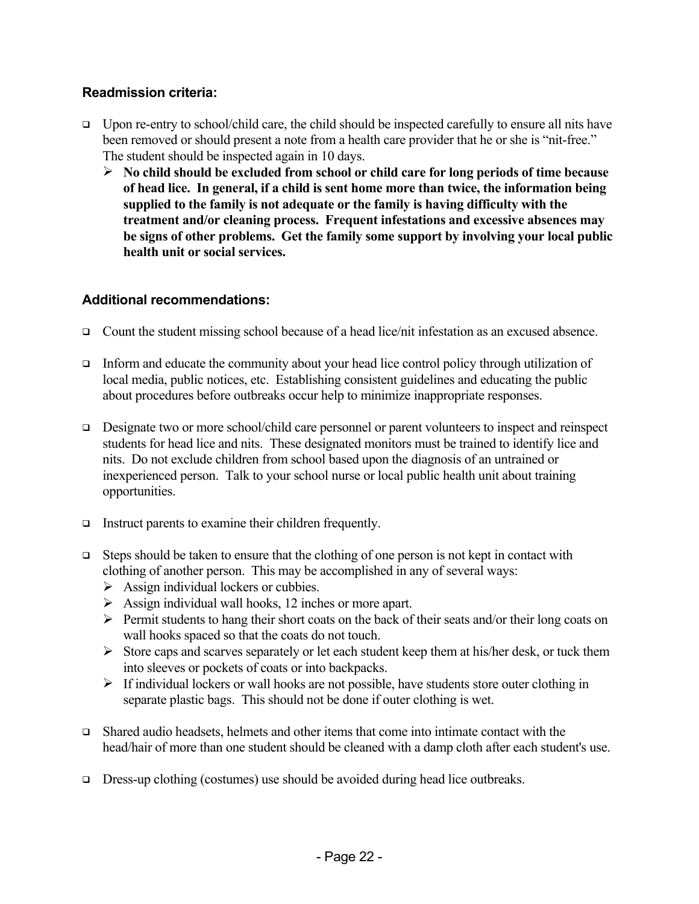#### **Readmission criteria:**

- $\Box$  Upon re-entry to school/child care, the child should be inspected carefully to ensure all nits have been removed or should present a note from a health care provider that he or she is "nit-free." The student should be inspected again in 10 days.
	- ¾ **No child should be excluded from school or child care for long periods of time because of head lice. In general, if a child is sent home more than twice, the information being supplied to the family is not adequate or the family is having difficulty with the treatment and/or cleaning process. Frequent infestations and excessive absences may be signs of other problems. Get the family some support by involving your local public health unit or social services.**

#### **Additional recommendations:**

- □ Count the student missing school because of a head lice/nit infestation as an excused absence.
- $\Box$  Inform and educate the community about your head lice control policy through utilization of local media, public notices, etc. Establishing consistent guidelines and educating the public about procedures before outbreaks occur help to minimize inappropriate responses.
- Designate two or more school/child care personnel or parent volunteers to inspect and reinspect students for head lice and nits. These designated monitors must be trained to identify lice and nits.Do not exclude children from school based upon the diagnosis of an untrained or inexperienced person. Talk to your school nurse or local public health unit about training opportunities.
- Instruct parents to examine their children frequently.
- Steps should be taken to ensure that the clothing of one person is not kept in contact with clothing of another person. This may be accomplished in any of several ways:
	- $\triangleright$  Assign individual lockers or cubbies.
	- $\triangleright$  Assign individual wall hooks, 12 inches or more apart.
	- $\triangleright$  Permit students to hang their short coats on the back of their seats and/or their long coats on wall hooks spaced so that the coats do not touch.
	- $\triangleright$  Store caps and scarves separately or let each student keep them at his/her desk, or tuck them into sleeves or pockets of coats or into backpacks.
	- $\triangleright$  If individual lockers or wall hooks are not possible, have students store outer clothing in separate plastic bags. This should not be done if outer clothing is wet.
- Shared audio headsets, helmets and other items that come into intimate contact with the head/hair of more than one student should be cleaned with a damp cloth after each student's use.
- $\Box$  Dress-up clothing (costumes) use should be avoided during head lice outbreaks.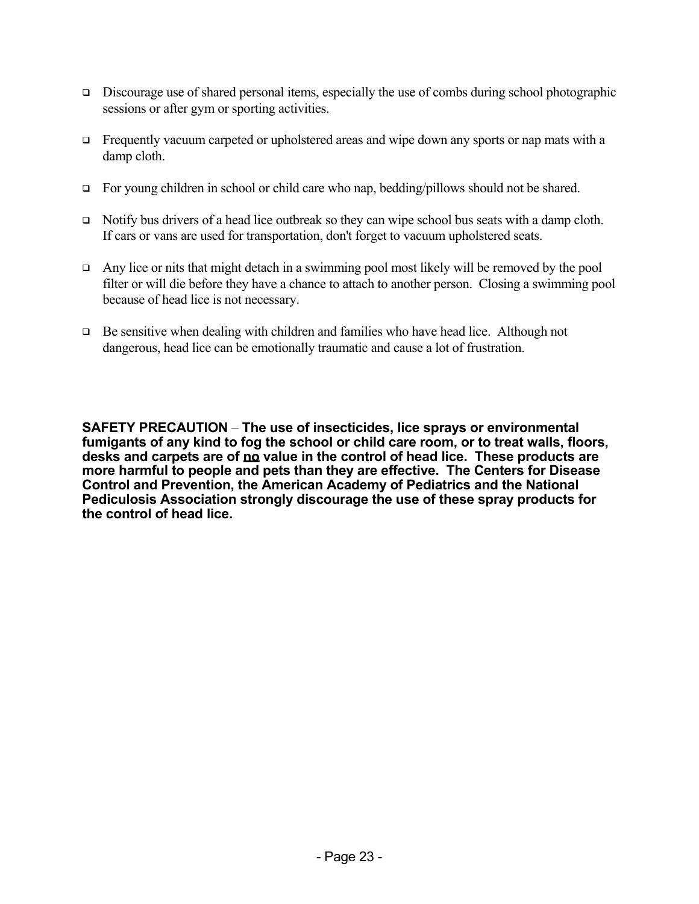- $\Box$  Discourage use of shared personal items, especially the use of combs during school photographic sessions or after gym or sporting activities.
- Frequently vacuum carpeted or upholstered areas and wipe down any sports or nap mats with a damp cloth.
- $\Box$  For young children in school or child care who nap, bedding/pillows should not be shared.
- $\Box$  Notify bus drivers of a head lice outbreak so they can wipe school bus seats with a damp cloth. If cars or vans are used for transportation, don't forget to vacuum upholstered seats.
- $\Box$  Any lice or nits that might detach in a swimming pool most likely will be removed by the pool filter or will die before they have a chance to attach to another person. Closing a swimming pool because of head lice is not necessary.
- Be sensitive when dealing with children and families who have head lice. Although not dangerous, head lice can be emotionally traumatic and cause a lot of frustration.

**SAFETY PRECAUTION** – **The use of insecticides, lice sprays or environmental fumigants of any kind to fog the school or child care room, or to treat walls, floors, desks and carpets are of no value in the control of head lice. These products are more harmful to people and pets than they are effective. The Centers for Disease Control and Prevention, the American Academy of Pediatrics and the National Pediculosis Association strongly discourage the use of these spray products for the control of head lice.**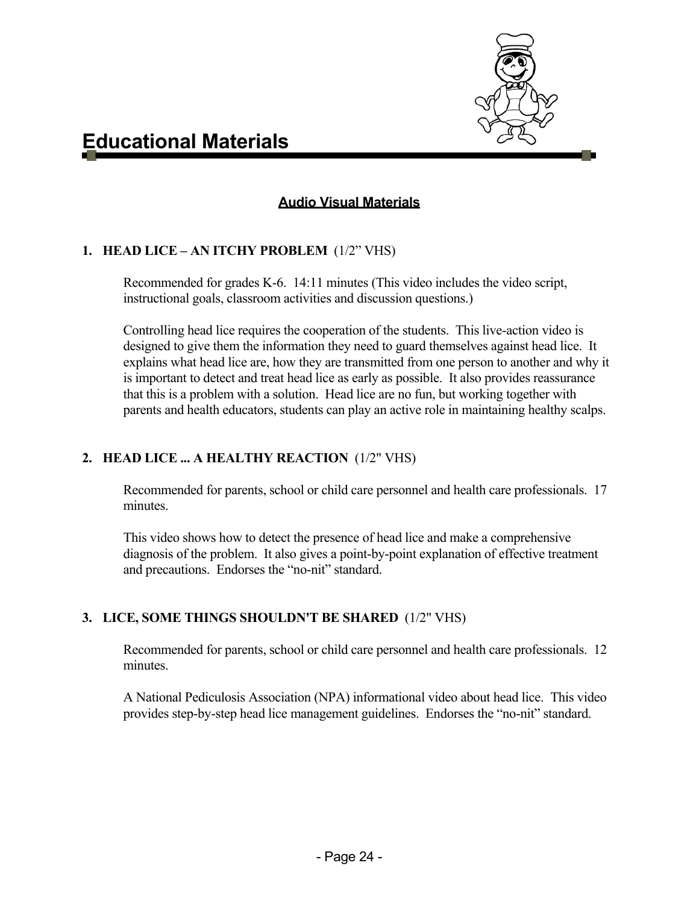

#### **Audio Visual Materials**

#### **1. HEAD LICE – AN ITCHY PROBLEM** (1/2" VHS)

Recommended for grades K-6. 14:11 minutes (This video includes the video script, instructional goals, classroom activities and discussion questions.)

Controlling head lice requires the cooperation of the students. This live-action video is designed to give them the information they need to guard themselves against head lice. It explains what head lice are, how they are transmitted from one person to another and why it is important to detect and treat head lice as early as possible. It also provides reassurance that this is a problem with a solution. Head lice are no fun, but working together with parents and health educators, students can play an active role in maintaining healthy scalps.

#### **2. HEAD LICE ... A HEALTHY REACTION** (1/2" VHS)

Recommended for parents, school or child care personnel and health care professionals. 17 minutes.

This video shows how to detect the presence of head lice and make a comprehensive diagnosis of the problem. It also gives a point-by-point explanation of effective treatment and precautions. Endorses the "no-nit" standard.

#### **3. LICE, SOME THINGS SHOULDN'T BE SHARED** (1/2" VHS)

Recommended for parents, school or child care personnel and health care professionals. 12 minutes.

A National Pediculosis Association (NPA) informational video about head lice. This video provides step-by-step head lice management guidelines. Endorses the "no-nit" standard.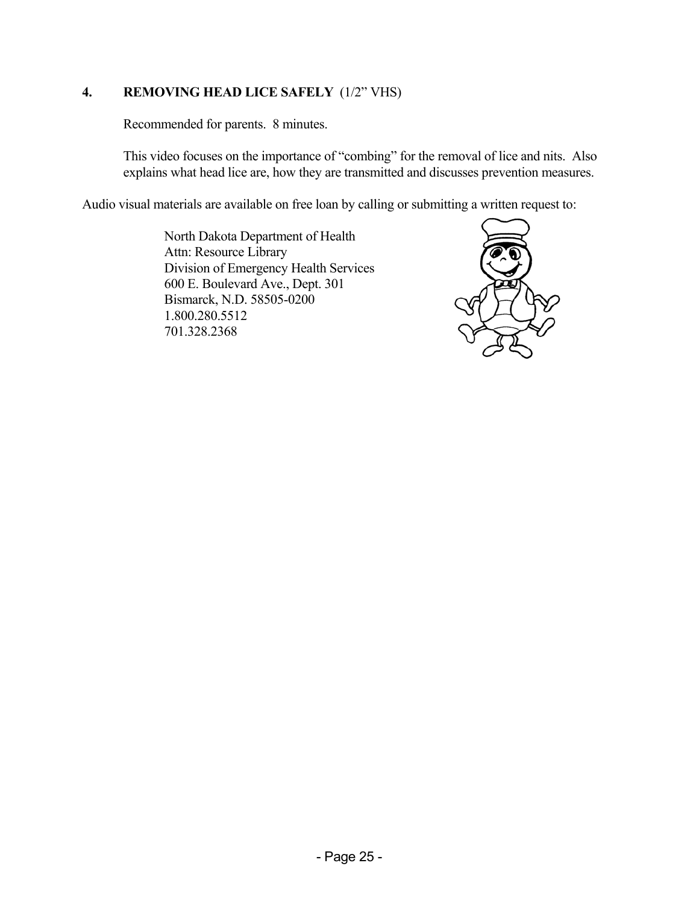#### **4. REMOVING HEAD LICE SAFELY** (1/2" VHS)

Recommended for parents. 8 minutes.

This video focuses on the importance of "combing" for the removal of lice and nits. Also explains what head lice are, how they are transmitted and discusses prevention measures.

Audio visual materials are available on free loan by calling or submitting a written request to:

North Dakota Department of Health Attn: Resource Library Division of Emergency Health Services 600 E. Boulevard Ave., Dept. 301 Bismarck, N.D. 58505-0200 1.800.280.5512 701.328.2368

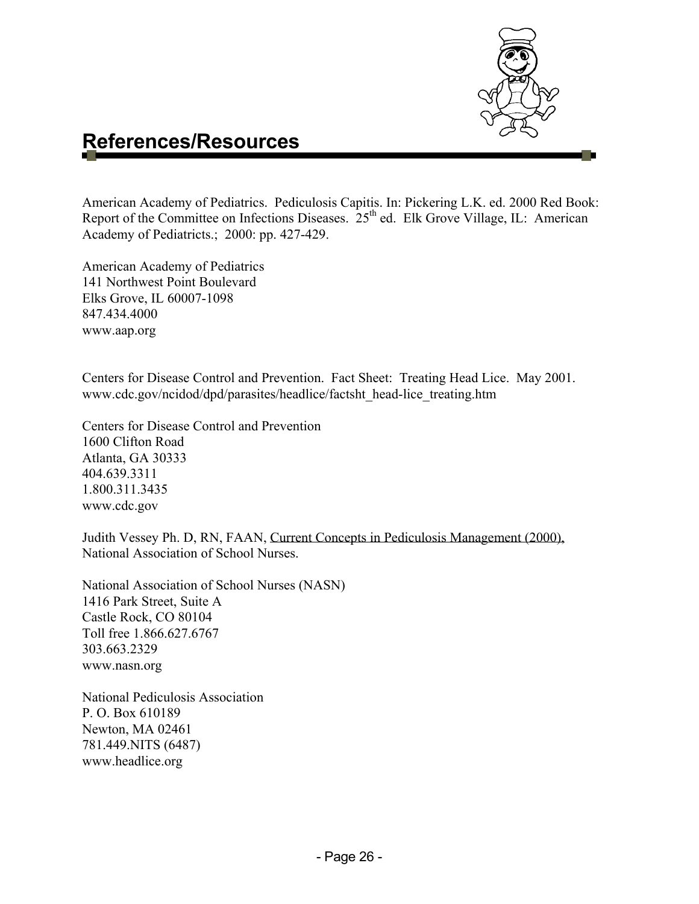

### **References/Resources**

American Academy of Pediatrics. Pediculosis Capitis. In: Pickering L.K. ed. 2000 Red Book: Report of the Committee on Infections Diseases.  $25<sup>th</sup>$  ed. Elk Grove Village, IL: American Academy of Pediatricts.; 2000: pp. 427-429.

American Academy of Pediatrics 141 Northwest Point Boulevard Elks Grove, IL 60007-1098 847.434.4000 [www.aap.org](http://www.aap.org/)

Centers for Disease Control and Prevention. Fact Sheet: Treating Head Lice. May 2001. [www.cdc.gov/ncidod/dpd/parasites/headlice/factsht\\_head-lice\\_treating.htm](http://www.cdc.gov/ncidod/dpd/parasites/headlice/factsht_head-lice_treating.htm)

Centers for Disease Control and Prevention 1600 Clifton Road Atlanta, GA 30333 404.639.3311 1.800.311.3435 www.cdc.gov

Judith Vessey Ph. D, RN, FAAN, Current Concepts in Pediculosis Management (2000), National Association of School Nurses.

National Association of School Nurses (NASN) 1416 Park Street, Suite A Castle Rock, CO 80104 Toll free 1.866.627.6767 303.663.2329 www.nasn.org

National Pediculosis Association P. O. Box 610189 Newton, MA 02461 781.449.NITS (6487) www.headlice.org